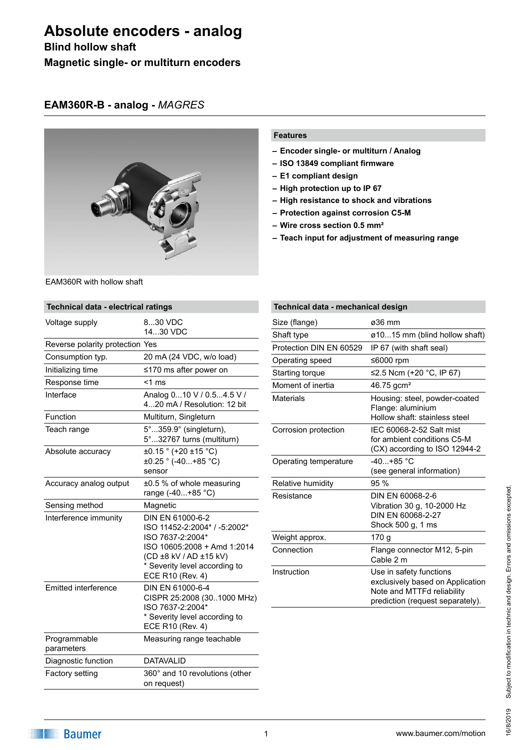## **Blind hollow shaft Magnetic single- or multiturn encoders**

#### **EAM360R-B - analog -** *MAGRES*



EAM360R with hollow shaft

#### **Features**

- **– Encoder single- or multiturn / Analog**
- **– ISO 13849 compliant firmware**
- **– E1 compliant design**
- **– High protection up to IP 67**
- **– High resistance to shock and vibrations**
- **– Protection against corrosion C5-M**
- **– Wire cross section 0.5 mm²**
- **– Teach input for adjustment of measuring range**

| Technical data - electrical ratings |                                                                                                                                                                                    |  |
|-------------------------------------|------------------------------------------------------------------------------------------------------------------------------------------------------------------------------------|--|
| Voltage supply                      | 830 VDC<br>1430 VDC                                                                                                                                                                |  |
| Reverse polarity protection Yes     |                                                                                                                                                                                    |  |
| Consumption typ.                    | 20 mA (24 VDC, w/o load)                                                                                                                                                           |  |
| Initializing time                   | $\leq$ 170 ms after power on                                                                                                                                                       |  |
| Response time                       | $<$ 1 ms                                                                                                                                                                           |  |
| Interface                           | Analog 010 V / 0.54.5 V /<br>420 mA / Resolution: 12 bit                                                                                                                           |  |
| Function                            | Multiturn, Singleturn                                                                                                                                                              |  |
| Teach range                         | 5°359.9° (singleturn),<br>5°32767 turns (multiturn)                                                                                                                                |  |
| Absolute accuracy                   | $\pm 0.15$ ° (+20 $\pm 15$ °C)<br>±0.25 ° (-40+85 °C)<br>sensor                                                                                                                    |  |
| Accuracy analog output              | $\pm 0.5$ % of whole measuring<br>range (-40+85 °C)                                                                                                                                |  |
| Sensing method                      | Magnetic                                                                                                                                                                           |  |
| Interference immunity               | DIN EN 61000-6-2<br>ISO 11452-2:2004* / -5:2002*<br>ISO 7637-2:2004*<br>ISO 10605:2008 + Amd 1:2014<br>(CD ±8 kV / AD ±15 kV)<br>* Severity level according to<br>ECE R10 (Rev. 4) |  |
| Emitted interference                | DIN EN 61000-6-4<br>CISPR 25:2008 (301000 MHz)<br>ISO 7637-2:2004*<br>* Severity level according to<br>ECE R10 (Rev. 4)                                                            |  |
| Programmable<br>parameters          | Measuring range teachable                                                                                                                                                          |  |
| Diagnostic function                 | <b>DATAVALID</b>                                                                                                                                                                   |  |
| <b>Factory setting</b>              | 360° and 10 revolutions (other<br>on request)                                                                                                                                      |  |

| Technical data - mechanical design |                                                                                                                               |  |  |
|------------------------------------|-------------------------------------------------------------------------------------------------------------------------------|--|--|
| Size (flange)                      | ø36 mm                                                                                                                        |  |  |
| Shaft type                         | ø1015 mm (blind hollow shaft)                                                                                                 |  |  |
| Protection DIN EN 60529            | IP 67 (with shaft seal)                                                                                                       |  |  |
| Operating speed                    | ≤6000 rpm                                                                                                                     |  |  |
| Starting torque                    | ≤2.5 Ncm (+20 °C, IP 67)                                                                                                      |  |  |
| Moment of inertia                  | $46.75$ gcm <sup>2</sup>                                                                                                      |  |  |
| Materials                          | Housing: steel, powder-coated<br>Flange: aluminium<br>Hollow shaft: stainless steel                                           |  |  |
| Corrosion protection               | IFC 60068-2-52 Salt mist<br>for ambient conditions C5-M<br>(CX) according to ISO 12944-2                                      |  |  |
| Operating temperature              | $-40+85$ °C<br>(see general information)                                                                                      |  |  |
| Relative humidity                  | 95 %                                                                                                                          |  |  |
| Resistance                         | DIN EN 60068-2-6<br>Vibration 30 g, 10-2000 Hz<br>DIN EN 60068-2-27<br>Shock 500 g, 1 ms                                      |  |  |
| Weight approx.                     | 170 g                                                                                                                         |  |  |
| Connection                         | Flange connector M12, 5-pin<br>Cable 2 m                                                                                      |  |  |
| Instruction                        | Use in safety functions<br>exclusively based on Application<br>Note and MTTFd reliability<br>prediction (request separately). |  |  |

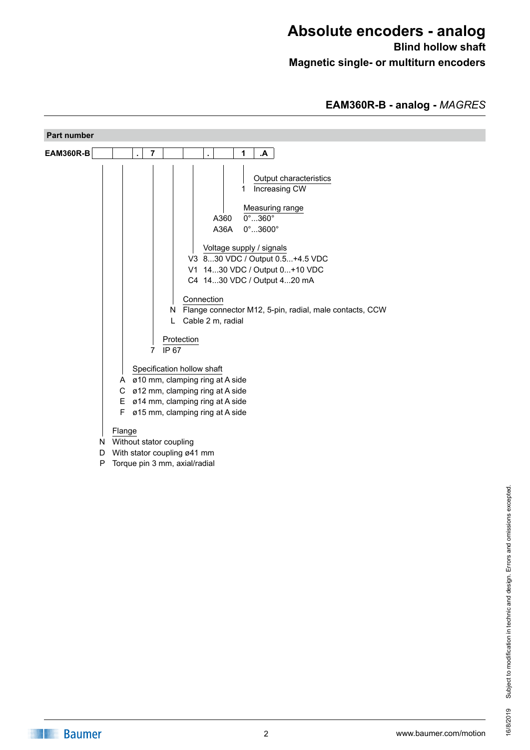## **Absolute encoders - analog Blind hollow shaft**

**Magnetic single- or multiturn encoders**

#### **EAM360R-B - analog -** *MAGRES*

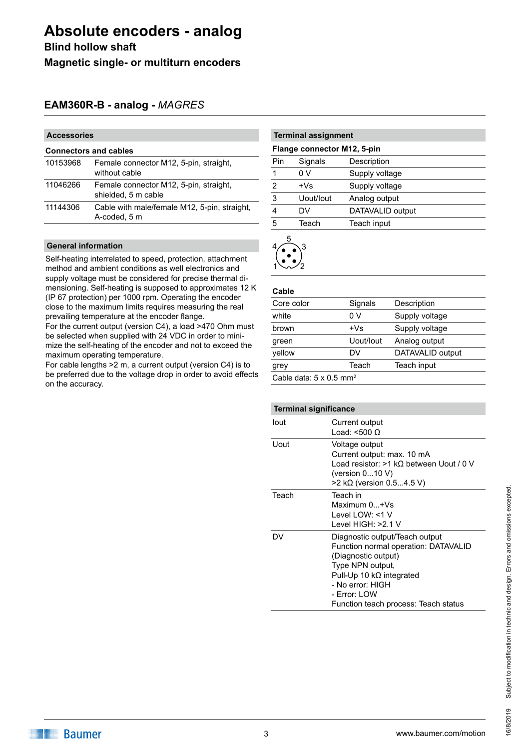**Blind hollow shaft Magnetic single- or multiturn encoders**

### **EAM360R-B - analog -** *MAGRES*

#### **Accessories**

| <b>Connectors and cables</b> |                                                               |  |  |
|------------------------------|---------------------------------------------------------------|--|--|
| 10153968                     | Female connector M12, 5-pin, straight,<br>without cable       |  |  |
| 11046266                     | Female connector M12, 5-pin, straight,<br>shielded, 5 m cable |  |  |
| 11144306                     | Cable with male/female M12, 5-pin, straight,<br>A-coded, 5 m  |  |  |
|                              |                                                               |  |  |

#### **General information**

Self-heating interrelated to speed, protection, attachment method and ambient conditions as well electronics and supply voltage must be considered for precise thermal dimensioning. Self-heating is supposed to approximates 12 K (IP 67 protection) per 1000 rpm. Operating the encoder close to the maximum limits requires measuring the real prevailing temperature at the encoder flange.

For the current output (version C4), a load >470 Ohm must be selected when supplied with 24 VDC in order to minimize the self-heating of the encoder and not to exceed the maximum operating temperature.

For cable lengths >2 m, a current output (version C4) is to be preferred due to the voltage drop in order to avoid effects on the accuracy.

| <b>Terminal assignment</b>  |           |                  |  |
|-----------------------------|-----------|------------------|--|
| Flange connector M12, 5-pin |           |                  |  |
| Pin                         | Signals   | Description      |  |
| 1                           | 0 V       | Supply voltage   |  |
| $\overline{2}$              | $+Vs$     | Supply voltage   |  |
| 3                           | Uout/lout | Analog output    |  |
|                             | DV        | DATAVALID output |  |
| 5                           | Teach     | Teach input      |  |
|                             |           |                  |  |



#### **Cable**

| Core color                                 | Signals   | Description      |
|--------------------------------------------|-----------|------------------|
| white                                      | 0 V       | Supply voltage   |
| brown                                      | $+Vs$     | Supply voltage   |
| green                                      | Uout/lout | Analog output    |
| yellow                                     | DV        | DATAVALID output |
| grey                                       | Teach     | Teach input      |
| Cable data: $5 \times 0.5$ mm <sup>2</sup> |           |                  |
|                                            |           |                  |

| <b>Terminal significance</b> |                                                                                                                                                                                                                                  |  |
|------------------------------|----------------------------------------------------------------------------------------------------------------------------------------------------------------------------------------------------------------------------------|--|
| lout                         | Current output<br>Load: <500 $\Omega$                                                                                                                                                                                            |  |
| Uout                         | Voltage output<br>Current output: max. 10 mA<br>Load resistor: $>1$ kQ between Uout / 0 V<br>(version $010$ V)<br>$>$ 2 kΩ (version 0.54.5 V)                                                                                    |  |
| Teach                        | Teach in<br>Maximum 0+Vs<br>l evel I OW: <1 V<br>l evel HIGH: >2.1 V                                                                                                                                                             |  |
| DV                           | Diagnostic output/Teach output<br>Function normal operation: DATAVALID<br>(Diagnostic output)<br>Type NPN output,<br>Pull-Up 10 $k\Omega$ integrated<br>- No error: HIGH<br>- Error: LOW<br>Function teach process: Teach status |  |

# Subject to modification in technic and design. Errors and omissions excepted. Subject to modification in technic and design. Errors and omissions excepted 16/8/2019 16/8/2019

**Baumer**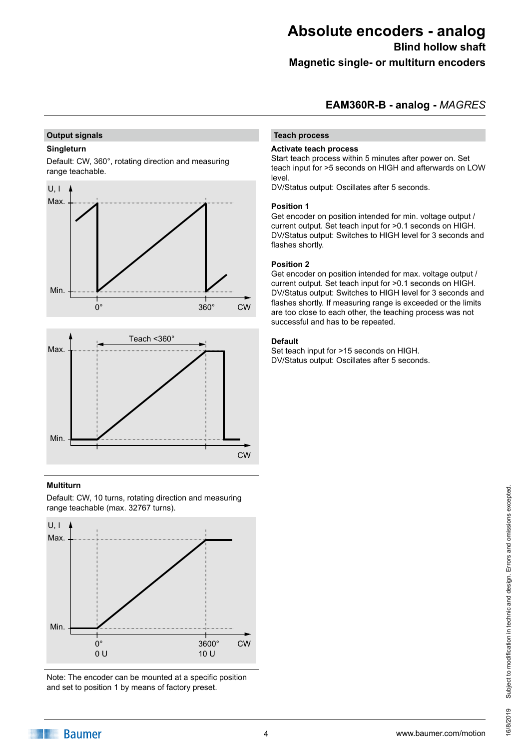**Blind hollow shaft**

**Magnetic single- or multiturn encoders**

#### **EAM360R-B - analog -** *MAGRES*

#### **Output signals**

#### **Singleturn**

Default: CW, 360°, rotating direction and measuring range teachable.





#### **Multiturn**

Default: CW, 10 turns, rotating direction and measuring range teachable (max. 32767 turns).



Note: The encoder can be mounted at a specific position and set to position 1 by means of factory preset.

#### **Teach process**

#### **Activate teach process**

Start teach process within 5 minutes after power on. Set teach input for >5 seconds on HIGH and afterwards on LOW level.

DV/Status output: Oscillates after 5 seconds.

#### **Position 1**

Get encoder on position intended for min. voltage output / current output. Set teach input for >0.1 seconds on HIGH. DV/Status output: Switches to HIGH level for 3 seconds and flashes shortly.

#### **Position 2**

Get encoder on position intended for max. voltage output / current output. Set teach input for >0.1 seconds on HIGH. DV/Status output: Switches to HIGH level for 3 seconds and flashes shortly. If measuring range is exceeded or the limits are too close to each other, the teaching process was not successful and has to be repeated.

#### **Default**

Set teach input for >15 seconds on HIGH. DV/Status output: Oscillates after 5 seconds.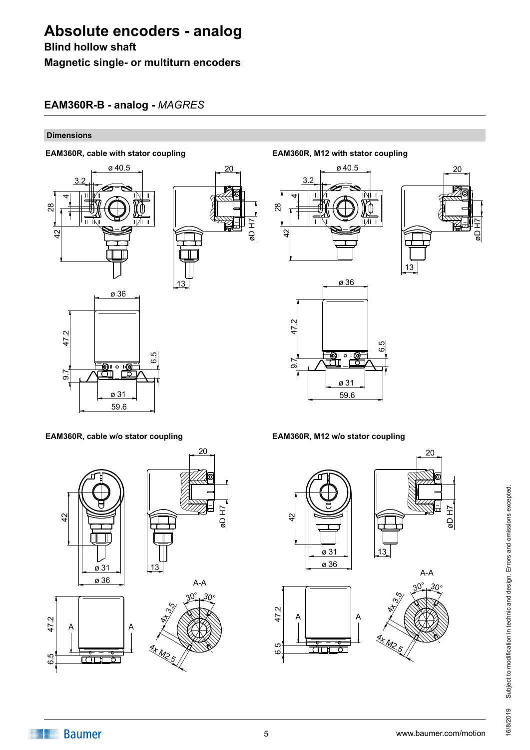#### **Blind hollow shaft**

**Magnetic single- or multiturn encoders**

## **EAM360R-B - analog -** *MAGRES*

#### **Dimensions**

#### **EAM360R, cable with stator coupling EAM360R, M12 with stator coupling**



#### **EAM360R, cable w/o stator coupling EAM360R, M12 w/o stator coupling**



øD H7  $\alpha$ 





 $2<sub>0</sub>$ 









6.5